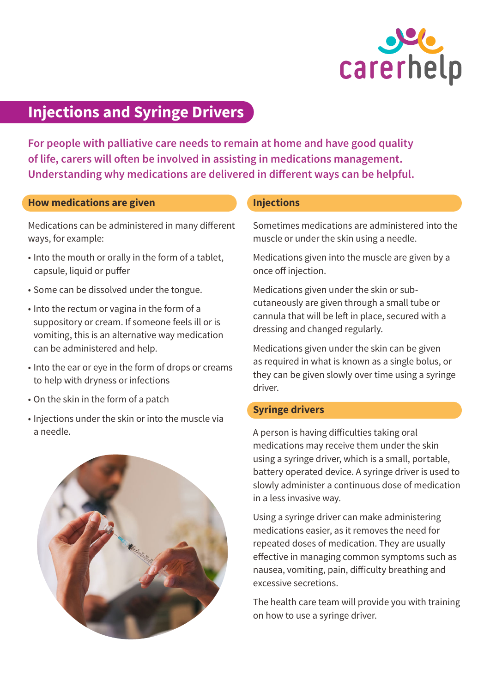

## **Injections and Syringe Drivers**

**For people with palliative care needs to remain at home and have good quality of life, carers will often be involved in assisting in medications management. Understanding why medications are delivered in different ways can be helpful.** 

## **How medications are given**

Medications can be administered in many different ways, for example:

- Into the mouth or orally in the form of a tablet, capsule, liquid or puffer
- Some can be dissolved under the tongue.
- Into the rectum or vagina in the form of a suppository or cream. If someone feels ill or is vomiting, this is an alternative way medication can be administered and help.
- Into the ear or eye in the form of drops or creams to help with dryness or infections
- On the skin in the form of a patch
- Injections under the skin or into the muscle via a needle.



## **Injections**

Sometimes medications are administered into the muscle or under the skin using a needle.

Medications given into the muscle are given by a once off injection.

Medications given under the skin or subcutaneously are given through a small tube or cannula that will be left in place, secured with a dressing and changed regularly.

Medications given under the skin can be given as required in what is known as a single bolus, or they can be given slowly over time using a syringe driver.

## **Syringe drivers**

A person is having difficulties taking oral medications may receive them under the skin using a syringe driver, which is a small, portable, battery operated device. A syringe driver is used to slowly administer a continuous dose of medication in a less invasive way.

Using a syringe driver can make administering medications easier, as it removes the need for repeated doses of medication. They are usually effective in managing common symptoms such as nausea, vomiting, pain, difficulty breathing and excessive secretions.

The health care team will provide you with training on how to use a syringe driver.